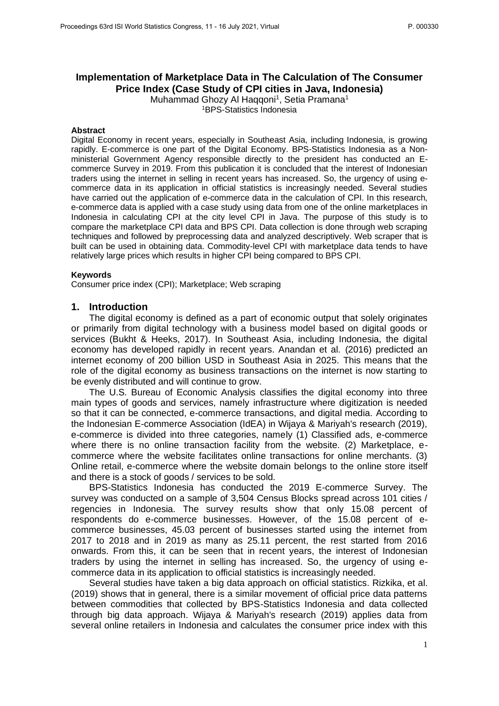

# **Implementation of Marketplace Data in The Calculation of The Consumer Price Index (Case Study of CPI cities in Java, Indonesia)**

Muhammad Ghozy Al Haqqoni<sup>1</sup>, Setia Pramana<sup>1</sup> <sup>1</sup>BPS-Statistics Indonesia

#### **Abstract**

Digital Economy in recent years, especially in Southeast Asia, including Indonesia, is growing rapidly. E-commerce is one part of the Digital Economy. BPS-Statistics Indonesia as a Nonministerial Government Agency responsible directly to the president has conducted an Ecommerce Survey in 2019. From this publication it is concluded that the interest of Indonesian traders using the internet in selling in recent years has increased. So, the urgency of using ecommerce data in its application in official statistics is increasingly needed. Several studies have carried out the application of e-commerce data in the calculation of CPI. In this research, e-commerce data is applied with a case study using data from one of the online marketplaces in Indonesia in calculating CPI at the city level CPI in Java. The purpose of this study is to compare the marketplace CPI data and BPS CPI. Data collection is done through web scraping techniques and followed by preprocessing data and analyzed descriptively. Web scraper that is built can be used in obtaining data. Commodity-level CPI with marketplace data tends to have relatively large prices which results in higher CPI being compared to BPS CPI.

#### **Keywords**

Consumer price index (CPI); Marketplace; Web scraping

### **1. Introduction**

The digital economy is defined as a part of economic output that solely originates or primarily from digital technology with a business model based on digital goods or services (Bukht & Heeks, 2017). In Southeast Asia, including Indonesia, the digital economy has developed rapidly in recent years. Anandan et al. (2016) predicted an internet economy of 200 billion USD in Southeast Asia in 2025. This means that the role of the digital economy as business transactions on the internet is now starting to be evenly distributed and will continue to grow.

The U.S. Bureau of Economic Analysis classifies the digital economy into three main types of goods and services, namely infrastructure where digitization is needed so that it can be connected, e-commerce transactions, and digital media. According to the Indonesian E-commerce Association (IdEA) in Wijaya & Mariyah's research (2019), e-commerce is divided into three categories, namely (1) Classified ads, e-commerce where there is no online transaction facility from the website. (2) Marketplace, ecommerce where the website facilitates online transactions for online merchants. (3) Online retail, e-commerce where the website domain belongs to the online store itself and there is a stock of goods / services to be sold.

BPS-Statistics Indonesia has conducted the 2019 E-commerce Survey. The survey was conducted on a sample of 3,504 Census Blocks spread across 101 cities / regencies in Indonesia. The survey results show that only 15.08 percent of respondents do e-commerce businesses. However, of the 15.08 percent of ecommerce businesses, 45.03 percent of businesses started using the internet from 2017 to 2018 and in 2019 as many as 25.11 percent, the rest started from 2016 onwards. From this, it can be seen that in recent years, the interest of Indonesian traders by using the internet in selling has increased. So, the urgency of using ecommerce data in its application to official statistics is increasingly needed.

Several studies have taken a big data approach on official statistics. Rizkika, et al. (2019) shows that in general, there is a similar movement of official price data patterns between commodities that collected by BPS-Statistics Indonesia and data collected through big data approach. Wijaya & Mariyah's research (2019) applies data from several online retailers in Indonesia and calculates the consumer price index with this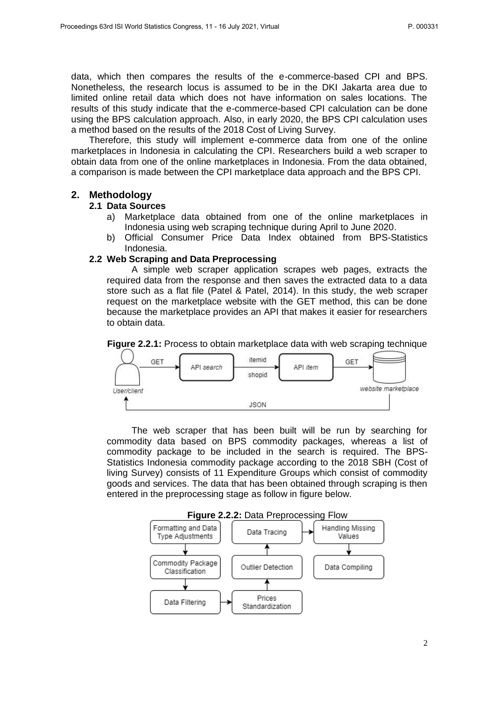data, which then compares the results of the e-commerce-based CPI and BPS. Nonetheless, the research locus is assumed to be in the DKI Jakarta area due to limited online retail data which does not have information on sales locations. The results of this study indicate that the e-commerce-based CPI calculation can be done using the BPS calculation approach. Also, in early 2020, the BPS CPI calculation uses a method based on the results of the 2018 Cost of Living Survey.

Therefore, this study will implement e-commerce data from one of the online marketplaces in Indonesia in calculating the CPI. Researchers build a web scraper to obtain data from one of the online marketplaces in Indonesia. From the data obtained, a comparison is made between the CPI marketplace data approach and the BPS CPI.

## **2. Methodology**

### **2.1 Data Sources**

- a) Marketplace data obtained from one of the online marketplaces in Indonesia using web scraping technique during April to June 2020.
- b) Official Consumer Price Data Index obtained from BPS-Statistics Indonesia.

### **2.2 Web Scraping and Data Preprocessing**

A simple web scraper application scrapes web pages, extracts the required data from the response and then saves the extracted data to a data store such as a flat file (Patel & Patel, 2014). In this study, the web scraper request on the marketplace website with the GET method, this can be done because the marketplace provides an API that makes it easier for researchers to obtain data.

**Figure 2.2.1:** Process to obtain marketplace data with web scraping technique



The web scraper that has been built will be run by searching for commodity data based on BPS commodity packages, whereas a list of commodity package to be included in the search is required. The BPS-Statistics Indonesia commodity package according to the 2018 SBH (Cost of living Survey) consists of 11 Expenditure Groups which consist of commodity goods and services. The data that has been obtained through scraping is then entered in the preprocessing stage as follow in figure below.

**Figure 2.2.2:** Data Preprocessing Flow

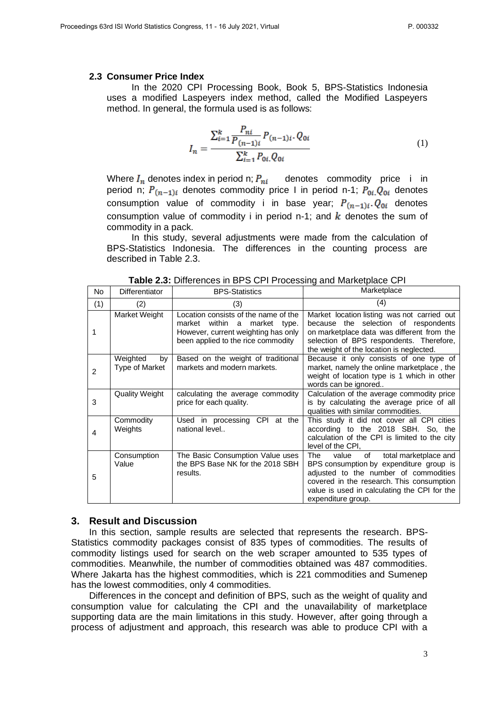#### **2.3 Consumer Price Index**

In the 2020 CPI Processing Book, Book 5, BPS-Statistics Indonesia uses a modified Laspeyers index method, called the Modified Laspeyers method. In general, the formula used is as follows:

$$
I_n = \frac{\sum_{i=1}^{k} \frac{P_{ni}}{P_{(n-1)i}} P_{(n-1)i} \cdot Q_{0i}}{\sum_{i=1}^{k} P_{0i} \cdot Q_{0i}} \tag{1}
$$

Where  $I_n$  denotes index in period n;  $P_{ni}$  denotes commodity price i in period n;  $P_{(n-1)i}$  denotes commodity price I in period n-1;  $P_{0i}Q_{0i}$  denotes consumption value of commodity i in base year;  $P_{(n-1)i}$ ,  $Q_{0i}$  denotes consumption value of commodity i in period n-1; and  $k$  denotes the sum of commodity in a pack.

In this study, several adjustments were made from the calculation of BPS-Statistics Indonesia. The differences in the counting process are described in Table 2.3.

| <b>No</b>      | <b>Differentiator</b>            | <b>BPS-Statistics</b>                                                                                                                             | Marketplace                                                                                                                                                                                                                                        |
|----------------|----------------------------------|---------------------------------------------------------------------------------------------------------------------------------------------------|----------------------------------------------------------------------------------------------------------------------------------------------------------------------------------------------------------------------------------------------------|
| (1)            | (2)                              | (3)                                                                                                                                               | (4)                                                                                                                                                                                                                                                |
| 1              | Market Weight                    | Location consists of the name of the<br>market within a market type.<br>However, current weighting has only<br>been applied to the rice commodity | Market location listing was not carried out<br>because the selection of respondents<br>on marketplace data was different from the<br>selection of BPS respondents. Therefore,<br>the weight of the location is neglected.                          |
| $\overline{2}$ | Weighted<br>by<br>Type of Market | Based on the weight of traditional<br>markets and modern markets.                                                                                 | Because it only consists of one type of<br>market, namely the online marketplace, the<br>weight of location type is 1 which in other<br>words can be ignored                                                                                       |
| 3              | <b>Quality Weight</b>            | calculating the average commodity<br>price for each quality.                                                                                      | Calculation of the average commodity price<br>is by calculating the average price of all<br>qualities with similar commodities.                                                                                                                    |
| 4              | Commodity<br>Weights             | Used in processing CPI at the<br>national level                                                                                                   | This study it did not cover all CPI cities<br>according to the 2018 SBH. So, the<br>calculation of the CPI is limited to the city<br>level of the CPI,                                                                                             |
| 5              | Consumption<br>Value             | The Basic Consumption Value uses<br>the BPS Base NK for the 2018 SBH<br>results.                                                                  | total marketplace and<br>The<br>value<br>of<br>BPS consumption by expenditure group is<br>adjusted to the number of commodities<br>covered in the research. This consumption<br>value is used in calculating the CPI for the<br>expenditure group. |

**Table 2.3:** Differences in BPS CPI Processing and Marketplace CPI

#### **3. Result and Discussion**

In this section, sample results are selected that represents the research. BPS-Statistics commodity packages consist of 835 types of commodities. The results of commodity listings used for search on the web scraper amounted to 535 types of commodities. Meanwhile, the number of commodities obtained was 487 commodities. Where Jakarta has the highest commodities, which is 221 commodities and Sumenep has the lowest commodities, only 4 commodities.

Differences in the concept and definition of BPS, such as the weight of quality and consumption value for calculating the CPI and the unavailability of marketplace supporting data are the main limitations in this study. However, after going through a process of adjustment and approach, this research was able to produce CPI with a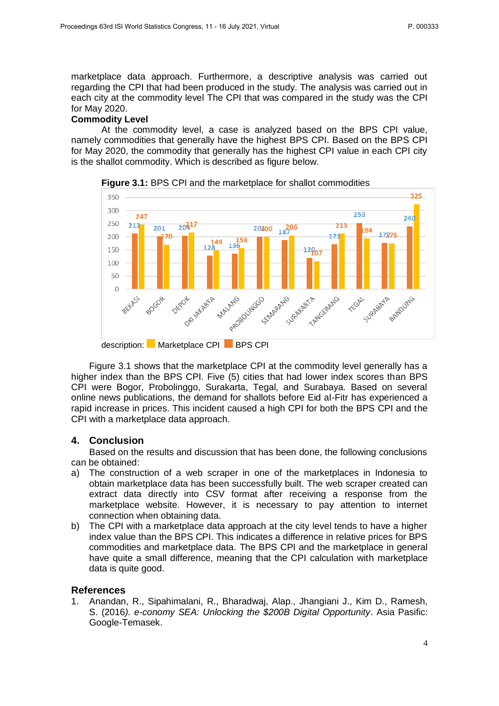marketplace data approach. Furthermore, a descriptive analysis was carried out regarding the CPI that had been produced in the study. The analysis was carried out in each city at the commodity level The CPI that was compared in the study was the CPI for May 2020.

# **Commodity Level**

At the commodity level, a case is analyzed based on the BPS CPI value, namely commodities that generally have the highest BPS CPI. Based on the BPS CPI for May 2020, the commodity that generally has the highest CPI value in each CPI city is the shallot commodity. Which is described as figure below.



**Figure 3.1:** BPS CPI and the marketplace for shallot commodities

Figure 3.1 shows that the marketplace CPI at the commodity level generally has a higher index than the BPS CPI. Five (5) cities that had lower index scores than BPS CPI were Bogor, Probolinggo, Surakarta, Tegal, and Surabaya. Based on several online news publications, the demand for shallots before Eid al-Fitr has experienced a rapid increase in prices. This incident caused a high CPI for both the BPS CPI and the CPI with a marketplace data approach.

# **4. Conclusion**

Based on the results and discussion that has been done, the following conclusions can be obtained:

- a) The construction of a web scraper in one of the marketplaces in Indonesia to obtain marketplace data has been successfully built. The web scraper created can extract data directly into CSV format after receiving a response from the marketplace website. However, it is necessary to pay attention to internet connection when obtaining data.
- b) The CPI with a marketplace data approach at the city level tends to have a higher index value than the BPS CPI. This indicates a difference in relative prices for BPS commodities and marketplace data. The BPS CPI and the marketplace in general have quite a small difference, meaning that the CPI calculation with marketplace data is quite good.

## **References**

1. Anandan, R., Sipahimalani, R., Bharadwaj, Alap., Jhangiani J., Kim D., Ramesh, S. (2016*). e-conomy SEA: Unlocking the \$200B Digital Opportunity*. Asia Pasific: Google-Temasek.